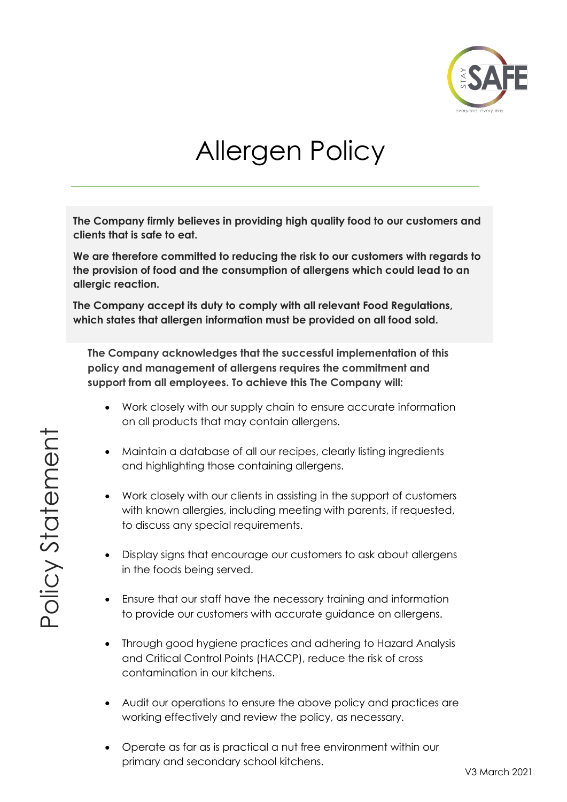

# Allergen Policy

**The Company firmly believes in providing high quality food to our customers and clients that is safe to eat.** 

**We are therefore committed to reducing the risk to our customers with regards to the provision of food and the consumption of allergens which could lead to an allergic reaction.**

**The Company accept its duty to comply with all relevant Food Regulations, which states that allergen information must be provided on all food sold.**

**The Company acknowledges that the successful implementation of this policy and management of allergens requires the commitment and support from all employees. To achieve this The Company will:**

- Work closely with our supply chain to ensure accurate information on all products that may contain allergens.
- Maintain a database of all our recipes, clearly listing ingredients and highlighting those containing allergens.
- Work closely with our clients in assisting in the support of customers with known allergies, including meeting with parents, if requested, to discuss any special requirements.
- Display signs that encourage our customers to ask about allergens in the foods being served.
- Ensure that our staff have the necessary training and information to provide our customers with accurate guidance on allergens.
- Through good hygiene practices and adhering to Hazard Analysis and Critical Control Points (HACCP), reduce the risk of cross contamination in our kitchens.
- Audit our operations to ensure the above policy and practices are working effectively and review the policy, as necessary.
- Operate as far as is practical a nut free environment within our primary and secondary school kitchens.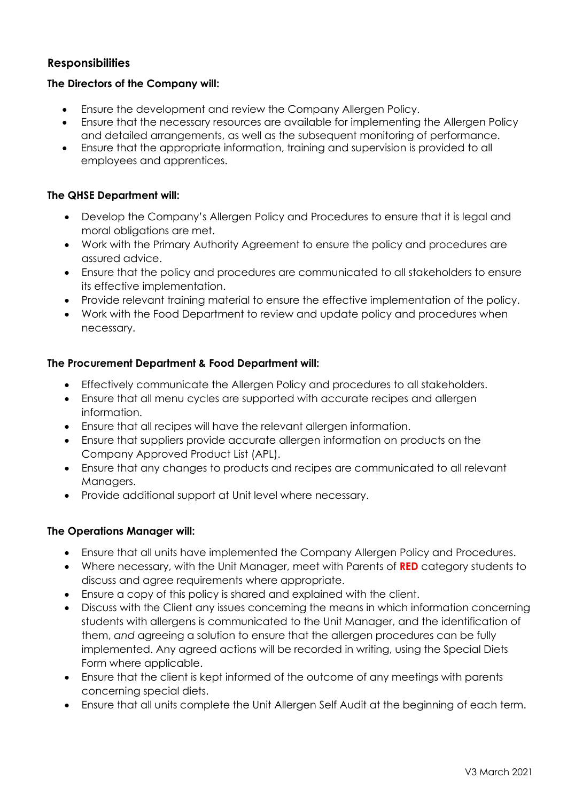# **Responsibilities**

#### **The Directors of the Company will:**

- Ensure the development and review the Company Allergen Policy.
- Ensure that the necessary resources are available for implementing the Allergen Policy and detailed arrangements, as well as the subsequent monitoring of performance.
- Ensure that the appropriate information, training and supervision is provided to all employees and apprentices.

#### **The QHSE Department will:**

- Develop the Company's Allergen Policy and Procedures to ensure that it is legal and moral obligations are met.
- Work with the Primary Authority Agreement to ensure the policy and procedures are assured advice.
- Ensure that the policy and procedures are communicated to all stakeholders to ensure its effective implementation.
- Provide relevant training material to ensure the effective implementation of the policy.
- Work with the Food Department to review and update policy and procedures when necessary.

#### **The Procurement Department & Food Department will:**

- Effectively communicate the Allergen Policy and procedures to all stakeholders.
- Ensure that all menu cycles are supported with accurate recipes and allergen information.
- Ensure that all recipes will have the relevant allergen information.
- Ensure that suppliers provide accurate allergen information on products on the Company Approved Product List (APL).
- Ensure that any changes to products and recipes are communicated to all relevant Managers.
- Provide additional support at Unit level where necessary.

#### **The Operations Manager will:**

- Ensure that all units have implemented the Company Allergen Policy and Procedures.
- Where necessary, with the Unit Manager, meet with Parents of **RED** category students to discuss and agree requirements where appropriate.
- Ensure a copy of this policy is shared and explained with the client.
- Discuss with the Client any issues concerning the means in which information concerning students with allergens is communicated to the Unit Manager, and the identification of them, *and* agreeing a solution to ensure that the allergen procedures can be fully implemented. Any agreed actions will be recorded in writing, using the Special Diets Form where applicable.
- Ensure that the client is kept informed of the outcome of any meetings with parents concerning special diets.
- Ensure that all units complete the Unit Allergen Self Audit at the beginning of each term.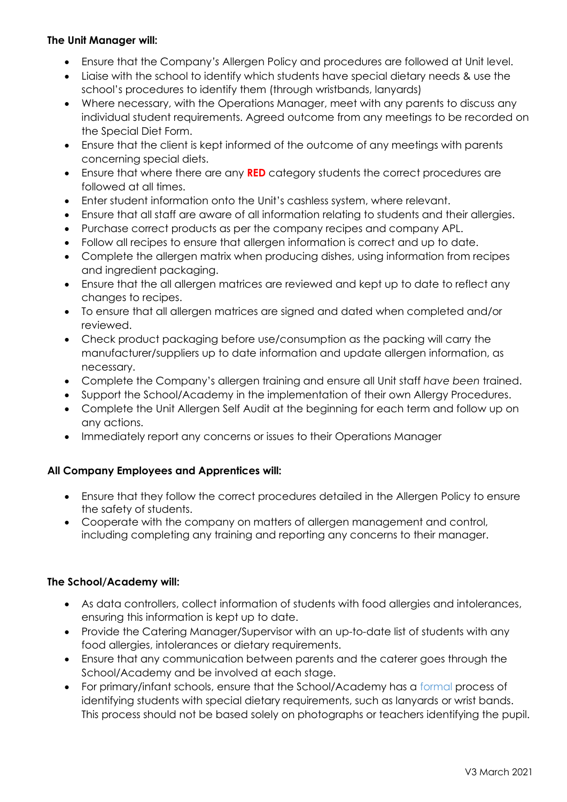## **The Unit Manager will:**

- Ensure that the Company*'s* Allergen Policy and procedures are followed at Unit level.
- Liaise with the school to identify which students have special dietary needs & use the school's procedures to identify them (through wristbands, lanyards)
- Where necessary, with the Operations Manager, meet with any parents to discuss any individual student requirements. Agreed outcome from any meetings to be recorded on the Special Diet Form.
- Ensure that the client is kept informed of the outcome of any meetings with parents concerning special diets.
- Ensure that where there are any **RED** category students the correct procedures are followed at all times.
- Enter student information onto the Unit's cashless system, where relevant.
- Ensure that all staff are aware of all information relating to students and their allergies.
- Purchase correct products as per the company recipes and company APL.
- Follow all recipes to ensure that allergen information is correct and up to date.
- Complete the allergen matrix when producing dishes, using information from recipes and ingredient packaging.
- Ensure that the all allergen matrices are reviewed and kept up to date to reflect any changes to recipes.
- To ensure that all allergen matrices are signed and dated when completed and/or reviewed.
- Check product packaging before use/consumption as the packing will carry the manufacturer/suppliers up to date information and update allergen information, as necessary.
- Complete the Company's allergen training and ensure all Unit staff *have been* trained.
- Support the School/Academy in the implementation of their own Allergy Procedures.
- Complete the Unit Allergen Self Audit at the beginning for each term and follow up on any actions.
- Immediately report any concerns or issues to their Operations Manager

## **All Company Employees and Apprentices will:**

- Ensure that they follow the correct procedures detailed in the Allergen Policy to ensure the safety of students.
- Cooperate with the company on matters of allergen management and control, including completing any training and reporting any concerns to their manager.

## **The School/Academy will:**

- As data controllers, collect information of students with food allergies and intolerances, ensuring this information is kept up to date.
- Provide the Catering Manager/Supervisor with an up-to-date list of students with any food allergies, intolerances or dietary requirements.
- Ensure that any communication between parents and the caterer goes through the School/Academy and be involved at each stage.
- For primary/infant schools, ensure that the School/Academy has a formal process of identifying students with special dietary requirements, such as lanyards or wrist bands. This process should not be based solely on photographs or teachers identifying the pupil.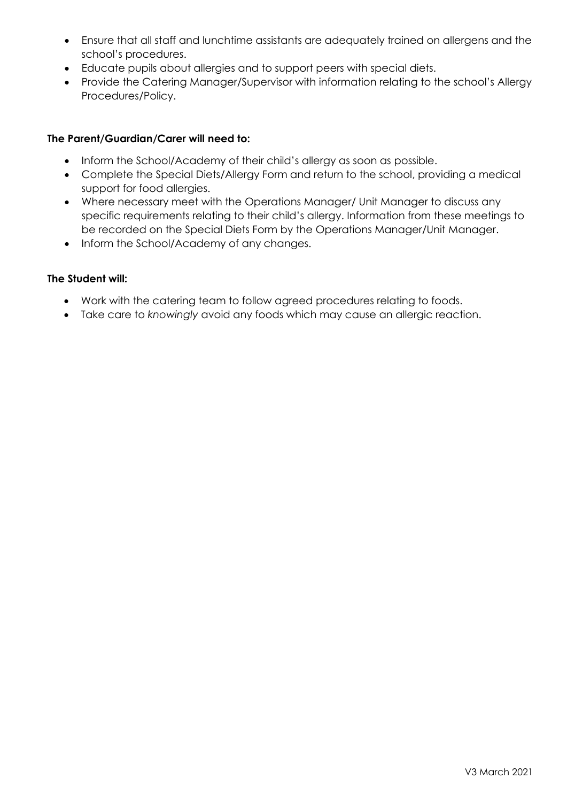- Ensure that all staff and lunchtime assistants are adequately trained on allergens and the school's procedures.
- Educate pupils about allergies and to support peers with special diets.
- Provide the Catering Manager/Supervisor with information relating to the school's Allergy Procedures/Policy.

#### **The Parent/Guardian/Carer will need to:**

- Inform the School/Academy of their child's allergy as soon as possible.
- Complete the Special Diets/Allergy Form and return to the school, providing a medical support for food allergies.
- Where necessary meet with the Operations Manager/ Unit Manager to discuss any specific requirements relating to their child's allergy. Information from these meetings to be recorded on the Special Diets Form by the Operations Manager/Unit Manager.
- Inform the School/Academy of any changes.

#### **The Student will:**

- Work with the catering team to follow agreed procedures relating to foods.
- Take care to *knowingly* avoid any foods which may cause an allergic reaction.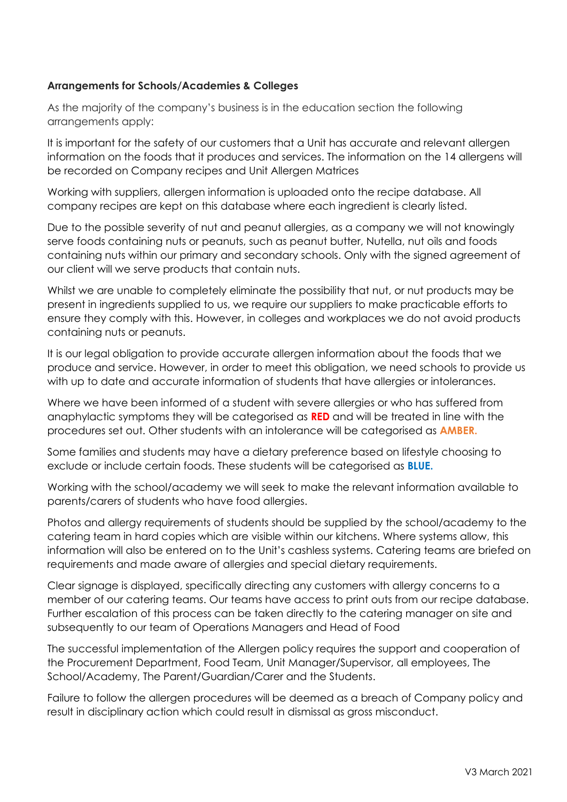## **Arrangements for Schools/Academies & Colleges**

As the majority of the company's business is in the education section the following arrangements apply:

It is important for the safety of our customers that a Unit has accurate and relevant allergen information on the foods that it produces and services. The information on the 14 allergens will be recorded on Company recipes and Unit Allergen Matrices

Working with suppliers, allergen information is uploaded onto the recipe database. All company recipes are kept on this database where each ingredient is clearly listed.

Due to the possible severity of nut and peanut allergies, as a company we will not knowingly serve foods containing nuts or peanuts, such as peanut butter, Nutella, nut oils and foods containing nuts within our primary and secondary schools. Only with the signed agreement of our client will we serve products that contain nuts.

Whilst we are unable to completely eliminate the possibility that nut, or nut products may be present in ingredients supplied to us, we require our suppliers to make practicable efforts to ensure they comply with this. However, in colleges and workplaces we do not avoid products containing nuts or peanuts.

It is our legal obligation to provide accurate allergen information about the foods that we produce and service. However, in order to meet this obligation, we need schools to provide us with up to date and accurate information of students that have allergies or intolerances.

Where we have been informed of a student with severe allergies or who has suffered from anaphylactic symptoms they will be categorised as **RED** and will be treated in line with the procedures set out. Other students with an intolerance will be categorised as **AMBER.**

Some families and students may have a dietary preference based on lifestyle choosing to exclude or include certain foods. These students will be categorised as **BLUE.**

Working with the school/academy we will seek to make the relevant information available to parents/carers of students who have food allergies.

Photos and allergy requirements of students should be supplied by the school/academy to the catering team in hard copies which are visible within our kitchens. Where systems allow, this information will also be entered on to the Unit's cashless systems. Catering teams are briefed on requirements and made aware of allergies and special dietary requirements.

Clear signage is displayed, specifically directing any customers with allergy concerns to a member of our catering team*s*. Our teams have access to print outs from our recipe database. Further escalation of this process can be taken directly to the catering manager on site and subsequently to our team of Operations Managers and Head of Food

The successful implementation of the Allergen policy requires the support and cooperation of the Procurement Department, Food Team, Unit Manager/Supervisor, all employees, The School/Academy, The Parent/Guardian/Carer and the Student*s*.

Failure to follow the allergen procedures will be deemed as a breach of Company policy and result in disciplinary action which could result in dismissal as gross misconduct.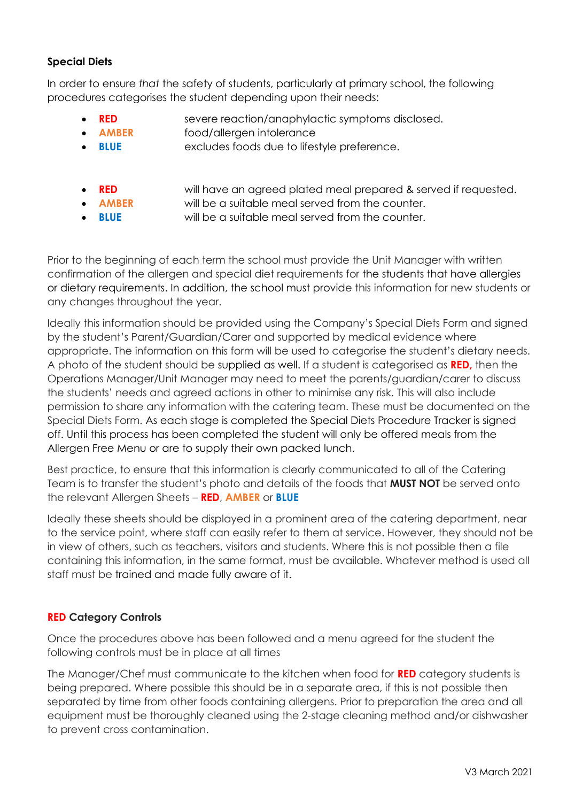# **Special Diets**

In order to ensure *that* the safety of students, particularly at primary school, the following procedures categorises the student depending upon their needs:

- **RED** severe reaction/anaphylactic symptoms disclosed.
- **AMBER** food/allergen intolerance
- **BLUE** excludes foods due to lifestyle preference.
	- **RED** will have an agreed plated meal prepared & served if requested.
	- **AMBER** will be a suitable meal served from the counter.
- **BLUE** will be a suitable meal served from the counter.

Prior to the beginning of each term the school must provide the Unit Manager with written confirmation of the allergen and special diet requirements for the students that have allergies or dietary requirements. In addition, the school must provide this information for new students or any changes throughout the year.

Ideally this information should be provided using the Company's Special Diets Form and signed by the student's Parent/Guardian/Carer and supported by medical evidence where appropriate. The information on this form will be used to categorise the student's dietary needs. A photo of the student should be supplied as well. If a student is categorised as **RED,** then the Operations Manager/Unit Manager may need to meet the parents/guardian/carer to discuss the students' needs and agreed actions in other to minimise any risk. This will also include permission to share any information with the catering team. These must be documented on the Special Diets Form. As each stage is completed the Special Diets Procedure Tracker is signed off. Until this process has been completed the student will only be offered meals from the Allergen Free Menu or are to supply their own packed lunch.

Best practice, to ensure that this information is clearly communicated to all of the Catering Team is to transfer the student's photo and details of the foods that **MUST NOT** be served onto the relevant Allergen Sheets – **RED**, **AMBER** or **BLUE**

Ideally these sheets should be displayed in a prominent area of the catering department, near to the service point, where staff can easily refer to them at service. However, they should not be in view of others, such as teachers, visitors and students. Where this is not possible then a file containing this information, in the same format, must be available. Whatever method is used all staff must be trained and made fully aware of it.

# **RED Category Controls**

Once the procedures above has been followed and a menu agreed for the student the following controls must be in place at all times

The Manager/Chef must communicate to the kitchen when food for **RED** category students is being prepared. Where possible this should be in a separate area, if this is not possible then separated by time from other foods containing allergens. Prior to preparation the area and all equipment must be thoroughly cleaned using the 2-stage cleaning method and/or dishwasher to prevent cross contamination.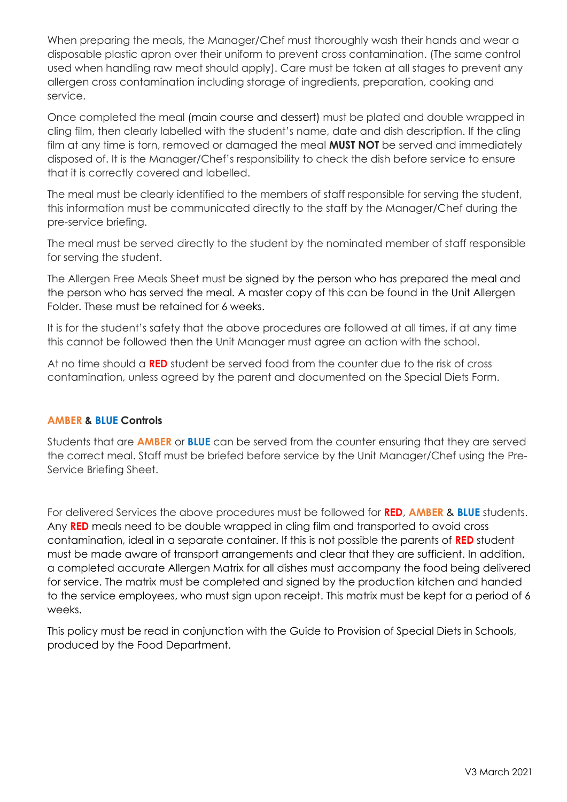When preparing the meals, the Manager/Chef must thoroughly wash their hands and wear a disposable plastic apron over their uniform to prevent cross contamination. (The same control used when handling raw meat should apply). Care must be taken at all stages to prevent any allergen cross contamination including storage of ingredients, preparation, cooking and service.

Once completed the meal (main course and dessert) must be plated and double wrapped in cling film, then clearly labelled with the student's name, date and dish description. If the cling film at any time is torn, removed or damaged the meal **MUST NOT** be served and immediately disposed of. It is the Manager/Chef's responsibility to check the dish before service to ensure that it is correctly covered and labelled.

The meal must be clearly identified to the members of staff responsible for serving the student, this information must be communicated directly to the staff by the Manager/Chef during the pre-service briefing.

The meal must be served directly to the student by the nominated member of staff responsible for serving the student.

The Allergen Free Meals Sheet must be signed by the person who has prepared the meal and the person who has served the meal. A master copy of this can be found in the Unit Allergen Folder. These must be retained for 6 weeks.

It is for the student's safety that the above procedures are followed at all times, if at any time this cannot be followed then the Unit Manager must agree an action with the school.

At no time should a **RED** student be served food from the counter due to the risk of cross contamination, unless agreed by the parent and documented on the Special Diets Form.

## **AMBER & BLUE Controls**

Students that are **AMBER** or **BLUE** can be served from the counter ensuring that they are served the correct meal. Staff must be briefed before service by the Unit Manager/Chef using the Pre-Service Briefing Sheet.

For delivered Services the above procedures must be followed for **RED**, **AMBER** & **BLUE** students. Any **RED** meals need to be double wrapped in cling film and transported to avoid cross contamination, ideal in a separate container. If this is not possible the parents of **RED** student must be made aware of transport arrangements and clear that they are sufficient. In addition, a completed accurate Allergen Matrix for all dishes must accompany the food being delivered for service. The matrix must be completed and signed by the production kitchen and handed to the service employees, who must sign upon receipt. This matrix must be kept for a period of 6 weeks.

This policy must be read in conjunction with the Guide to Provision of Special Diets in Schools, produced by the Food Department.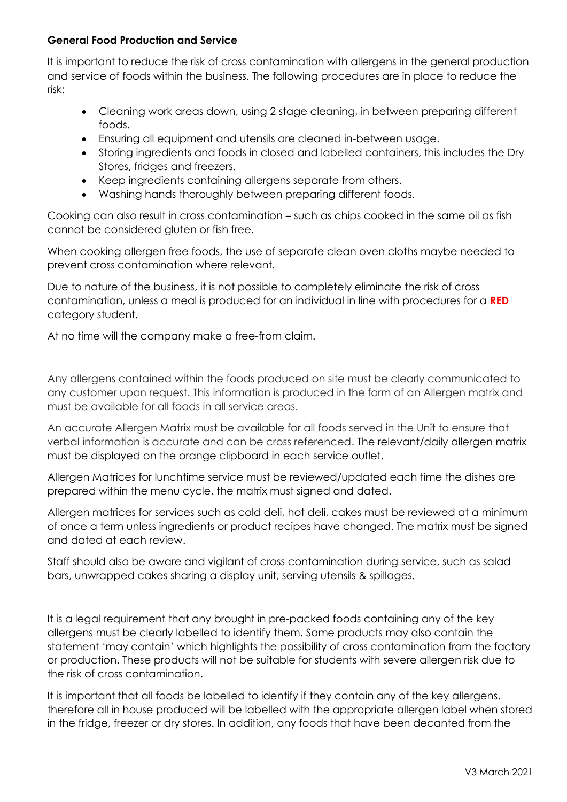#### **General Food Production and Service**

It is important to reduce the risk of cross contamination with allergens in the general production and service of foods within the business. The following procedures are in place to reduce the risk:

- Cleaning work areas down, using 2 stage cleaning, in between preparing different foods.
- Ensuring all equipment and utensils are cleaned in-between usage.
- Storing ingredients and foods in closed and labelled containers, this includes the Dry Stores, fridges and freezers.
- Keep ingredients containing allergens separate from others.
- Washing hands thoroughly between preparing different foods.

Cooking can also result in cross contamination – such as chips cooked in the same oil as fish cannot be considered gluten or fish free.

When cooking allergen free foods, the use of separate clean oven cloths maybe needed to prevent cross contamination where relevant.

Due to nature of the business, it is not possible to completely eliminate the risk of cross contamination, unless a meal is produced for an individual in line with procedures for a **RED** category student.

At no time will the company make a free-from claim.

Any allergens contained within the foods produced on site must be clearly communicated to any customer upon request. This information is produced in the form of an Allergen matrix and must be available for all foods in all service areas.

An accurate Allergen Matrix must be available for all foods served in the Unit to ensure that verbal information is accurate and can be cross referenced. The relevant/daily allergen matrix must be displayed on the orange clipboard in each service outlet.

Allergen Matrices for lunchtime service must be reviewed/updated each time the dishes are prepared within the menu cycle, the matrix must signed and dated.

Allergen matrices for services such as cold deli, hot deli, cakes must be reviewed at a minimum of once a term unless ingredients or product recipes have changed. The matrix must be signed and dated at each review.

Staff should also be aware and vigilant of cross contamination during service, such as salad bars, unwrapped cakes sharing a display unit, serving utensils & spillages.

It is a legal requirement that any brought in pre-packed foods containing any of the key allergens must be clearly labelled to identify them. Some products may also contain the statement 'may contain' which highlights the possibility of cross contamination from the factory or production. These products will not be suitable for students with severe allergen risk due to the risk of cross contamination.

It is important that all foods be labelled to identify if they contain any of the key allergens, therefore all in house produced will be labelled with the appropriate allergen label when stored in the fridge, freezer or dry stores. In addition, any foods that have been decanted from the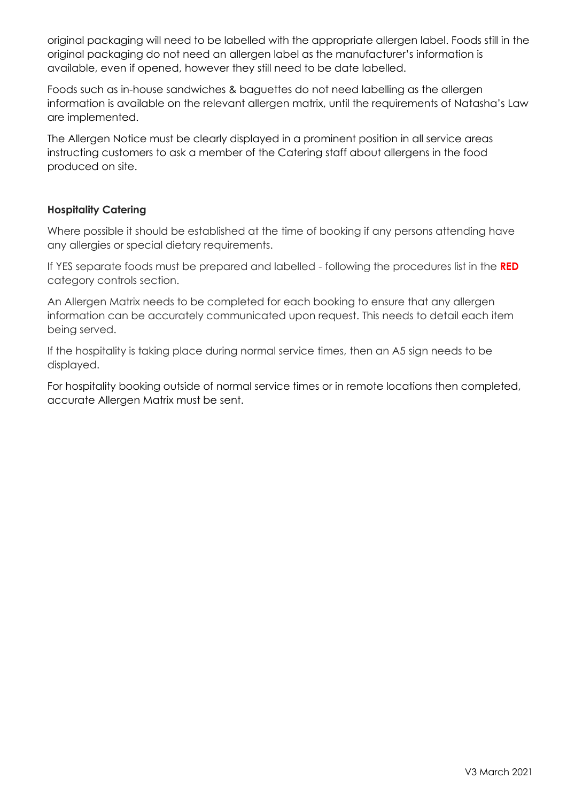original packaging will need to be labelled with the appropriate allergen label. Foods still in the original packaging do not need an allergen label as the manufacturer's information is available, even if opened, however they still need to be date labelled.

Foods such as in-house sandwiches & baguettes do not need labelling as the allergen information is available on the relevant allergen matrix, until the requirements of Natasha's Law are implemented.

The Allergen Notice must be clearly displayed in a prominent position in all service areas instructing customers to ask a member of the Catering staff about allergens in the food produced on site.

# **Hospitality Catering**

Where possible it should be established at the time of booking if any persons attending have any allergies or special dietary requirements.

If YES separate foods must be prepared and labelled - following the procedures list in the **RED**  category controls section.

An Allergen Matrix needs to be completed for each booking to ensure that any allergen information can be accurately communicated upon request. This needs to detail each item being served.

If the hospitality is taking place during normal service times, then an A5 sign needs to be displayed.

For hospitality booking outside of normal service times or in remote locations then completed, accurate Allergen Matrix must be sent.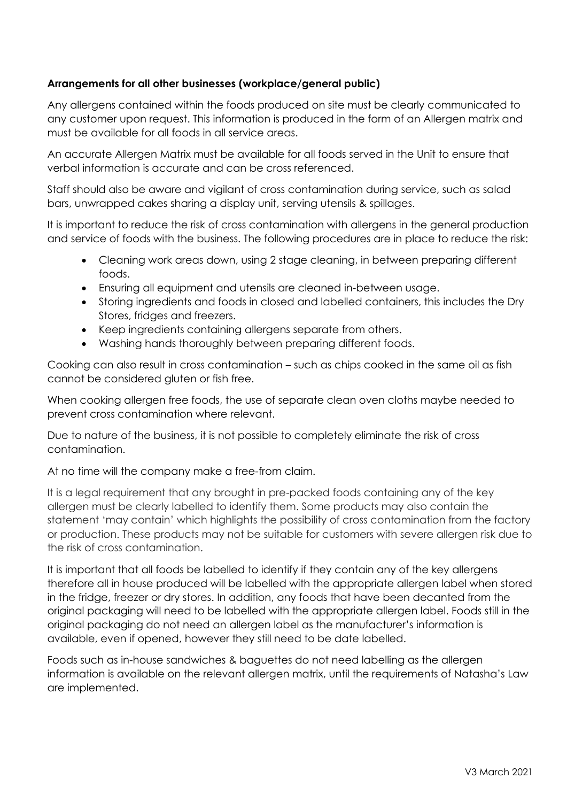# **Arrangements for all other businesses (workplace/general public)**

Any allergens contained within the foods produced on site must be clearly communicated to any customer upon request. This information is produced in the form of an Allergen matrix and must be available for all foods in all service areas.

An accurate Allergen Matrix must be available for all foods served in the Unit to ensure that verbal information is accurate and can be cross referenced.

Staff should also be aware and vigilant of cross contamination during service, such as salad bars, unwrapped cakes sharing a display unit, serving utensils & spillages.

It is important to reduce the risk of cross contamination with allergens in the general production and service of foods with the business. The following procedures are in place to reduce the risk:

- Cleaning work areas down, using 2 stage cleaning, in between preparing different foods.
- Ensuring all equipment and utensils are cleaned in-between usage.
- Storing ingredients and foods in closed and labelled containers, this includes the Dry Stores, fridges and freezers.
- Keep ingredients containing allergens separate from others.
- Washing hands thoroughly between preparing different foods.

Cooking can also result in cross contamination – such as chips cooked in the same oil as fish cannot be considered gluten or fish free.

When cooking allergen free foods, the use of separate clean oven cloths maybe needed to prevent cross contamination where relevant.

Due to nature of the business, it is not possible to completely eliminate the risk of cross contamination.

At no time will the company make a free-from claim.

It is a legal requirement that any brought in pre-packed foods containing any of the key allergen must be clearly labelled to identify them. Some products may also contain the statement 'may contain' which highlights the possibility of cross contamination from the factory or production. These products may not be suitable for customers with severe allergen risk due to the risk of cross contamination.

It is important that all foods be labelled to identify if they contain any of the key allergens therefore all in house produced will be labelled with the appropriate allergen label when stored in the fridge, freezer or dry stores. In addition, any foods that have been decanted from the original packaging will need to be labelled with the appropriate allergen label. Foods still in the original packaging do not need an allergen label as the manufacturer's information is available, even if opened, however they still need to be date labelled.

Foods such as in-house sandwiches & baguettes do not need labelling as the allergen information is available on the relevant allergen matrix, until the requirements of Natasha's Law are implemented.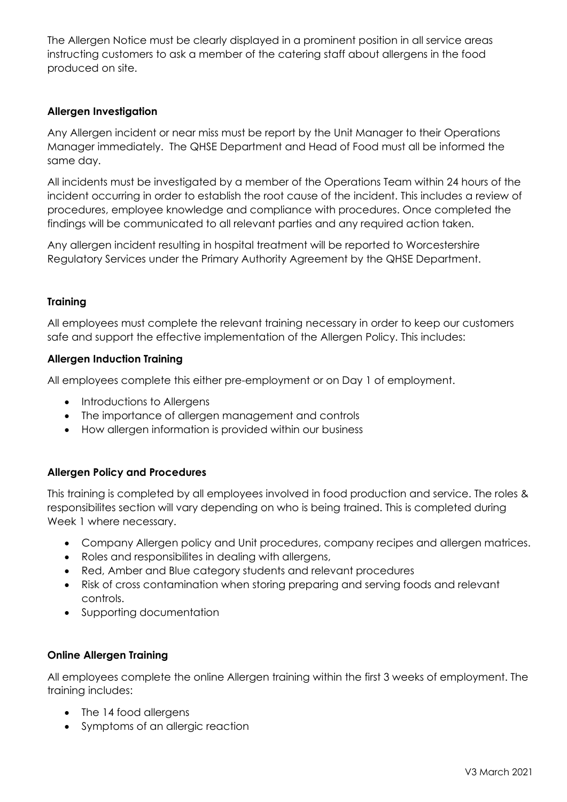The Allergen Notice must be clearly displayed in a prominent position in all service areas instructing customers to ask a member of the catering staff about allergens in the food produced on site.

# **Allergen Investigation**

Any Allergen incident or near miss must be report by the Unit Manager to their Operations Manager immediately. The QHSE Department and Head of Food must all be informed the same day.

All incidents must be investigated by a member of the Operations Team within 24 hours of the incident occurring in order to establish the root cause of the incident. This includes a review of procedures, employee knowledge and compliance with procedures. Once completed the findings will be communicated to all relevant parties and any required action taken.

Any allergen incident resulting in hospital treatment will be reported to Worcestershire Regulatory Services under the Primary Authority Agreement by the QHSE Department.

## **Training**

All employees must complete the relevant training necessary in order to keep our customers safe and support the effective implementation of the Allergen Policy. This includes:

#### **Allergen Induction Training**

All employees complete this either pre-employment or on Day 1 of employment.

- Introductions to Allergens
- The importance of allergen management and controls
- How allergen information is provided within our business

## **Allergen Policy and Procedures**

This training is completed by all employees involved in food production and service. The roles & responsibilites section will vary depending on who is being trained. This is completed during Week 1 where necessary.

- Company Allergen policy and Unit procedures, company recipes and allergen matrices.
- Roles and responsibilites in dealing with allergens,
- Red, Amber and Blue category students and relevant procedures
- Risk of cross contamination when storing preparing and serving foods and relevant controls.
- Supporting documentation

#### **Online Allergen Training**

All employees complete the online Allergen training within the first 3 weeks of employment. The training includes:

- The 14 food allergens
- Symptoms of an allergic reaction